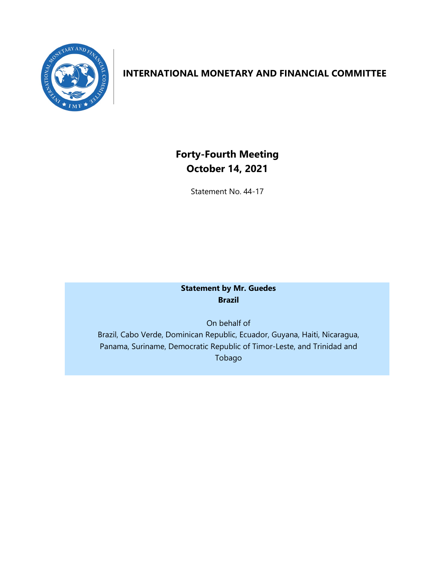

## **INTERNATIONAL MONETARY AND FINANCIAL COMMITTEE**

# **Forty-Fourth Meeting October 14, 2021**

Statement No. 44-17

## **Statement by Mr. Guedes Brazil**

On behalf of Brazil, Cabo Verde, Dominican Republic, Ecuador, Guyana, Haiti, Nicaragua, Panama, Suriname, Democratic Republic of Timor-Leste, and Trinidad and Tobago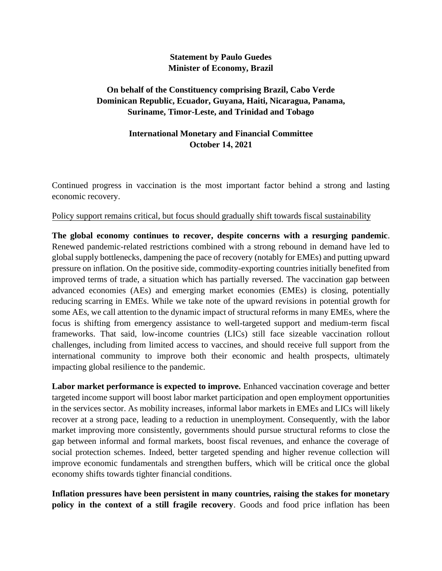#### **Statement by Paulo Guedes Minister of Economy, Brazil**

## **On behalf of the Constituency comprising Brazil, Cabo Verde Dominican Republic, Ecuador, Guyana, Haiti, Nicaragua, Panama, Suriname, Timor-Leste, and Trinidad and Tobago**

### **International Monetary and Financial Committee October 14, 2021**

Continued progress in vaccination is the most important factor behind a strong and lasting economic recovery.

#### Policy support remains critical, but focus should gradually shift towards fiscal sustainability

**The global economy continues to recover, despite concerns with a resurging pandemic**. Renewed pandemic-related restrictions combined with a strong rebound in demand have led to global supply bottlenecks, dampening the pace of recovery (notably for EMEs) and putting upward pressure on inflation. On the positive side, commodity-exporting countries initially benefited from improved terms of trade, a situation which has partially reversed. The vaccination gap between advanced economies (AEs) and emerging market economies (EMEs) is closing, potentially reducing scarring in EMEs. While we take note of the upward revisions in potential growth for some AEs, we call attention to the dynamic impact of structural reforms in many EMEs, where the focus is shifting from emergency assistance to well-targeted support and medium-term fiscal frameworks. That said, low-income countries (LICs) still face sizeable vaccination rollout challenges, including from limited access to vaccines, and should receive full support from the international community to improve both their economic and health prospects, ultimately impacting global resilience to the pandemic.

**Labor market performance is expected to improve.** Enhanced vaccination coverage and better targeted income support will boost labor market participation and open employment opportunities in the services sector. As mobility increases, informal labor markets in EMEs and LICs will likely recover at a strong pace, leading to a reduction in unemployment. Consequently, with the labor market improving more consistently, governments should pursue structural reforms to close the gap between informal and formal markets, boost fiscal revenues, and enhance the coverage of social protection schemes. Indeed, better targeted spending and higher revenue collection will improve economic fundamentals and strengthen buffers, which will be critical once the global economy shifts towards tighter financial conditions.

**Inflation pressures have been persistent in many countries, raising the stakes for monetary policy in the context of a still fragile recovery**. Goods and food price inflation has been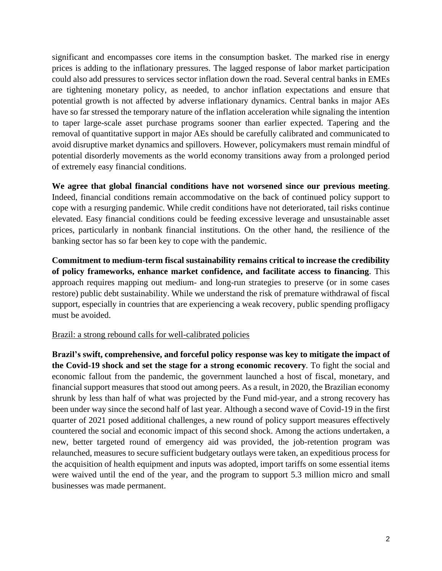significant and encompasses core items in the consumption basket. The marked rise in energy prices is adding to the inflationary pressures. The lagged response of labor market participation could also add pressures to services sector inflation down the road. Several central banks in EMEs are tightening monetary policy, as needed, to anchor inflation expectations and ensure that potential growth is not affected by adverse inflationary dynamics. Central banks in major AEs have so far stressed the temporary nature of the inflation acceleration while signaling the intention to taper large-scale asset purchase programs sooner than earlier expected. Tapering and the removal of quantitative support in major AEs should be carefully calibrated and communicated to avoid disruptive market dynamics and spillovers. However, policymakers must remain mindful of potential disorderly movements as the world economy transitions away from a prolonged period of extremely easy financial conditions.

**We agree that global financial conditions have not worsened since our previous meeting**. Indeed, financial conditions remain accommodative on the back of continued policy support to cope with a resurging pandemic. While credit conditions have not deteriorated, tail risks continue elevated. Easy financial conditions could be feeding excessive leverage and unsustainable asset prices, particularly in nonbank financial institutions. On the other hand, the resilience of the banking sector has so far been key to cope with the pandemic.

**Commitment to medium-term fiscal sustainability remains critical to increase the credibility of policy frameworks, enhance market confidence, and facilitate access to financing**. This approach requires mapping out medium- and long-run strategies to preserve (or in some cases restore) public debt sustainability. While we understand the risk of premature withdrawal of fiscal support, especially in countries that are experiencing a weak recovery, public spending profligacy must be avoided.

#### Brazil: a strong rebound calls for well-calibrated policies

**Brazil's swift, comprehensive, and forceful policy response was key to mitigate the impact of the Covid-19 shock and set the stage for a strong economic recovery**. To fight the social and economic fallout from the pandemic, the government launched a host of fiscal, monetary, and financial support measures that stood out among peers. As a result, in 2020, the Brazilian economy shrunk by less than half of what was projected by the Fund mid-year, and a strong recovery has been under way since the second half of last year. Although a second wave of Covid-19 in the first quarter of 2021 posed additional challenges, a new round of policy support measures effectively countered the social and economic impact of this second shock. Among the actions undertaken, a new, better targeted round of emergency aid was provided, the job-retention program was relaunched, measures to secure sufficient budgetary outlays were taken, an expeditious process for the acquisition of health equipment and inputs was adopted, import tariffs on some essential items were waived until the end of the year, and the program to support 5.3 million micro and small businesses was made permanent.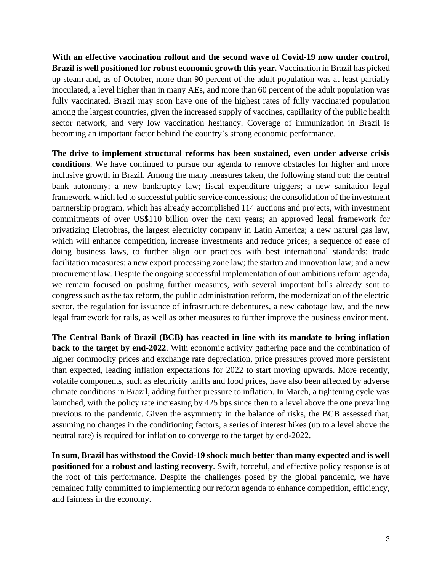**With an effective vaccination rollout and the second wave of Covid-19 now under control, Brazil is well positioned for robust economic growth this year.** Vaccination in Brazil has picked up steam and, as of October, more than 90 percent of the adult population was at least partially inoculated, a level higher than in many AEs, and more than 60 percent of the adult population was fully vaccinated. Brazil may soon have one of the highest rates of fully vaccinated population among the largest countries, given the increased supply of vaccines, capillarity of the public health sector network, and very low vaccination hesitancy. Coverage of immunization in Brazil is becoming an important factor behind the country's strong economic performance.

**The drive to implement structural reforms has been sustained, even under adverse crisis conditions**. We have continued to pursue our agenda to remove obstacles for higher and more inclusive growth in Brazil. Among the many measures taken, the following stand out: the central bank autonomy; a new bankruptcy law; fiscal expenditure triggers; a new sanitation legal framework, which led to successful public service concessions; the consolidation of the investment partnership program, which has already accomplished 114 auctions and projects, with investment commitments of over US\$110 billion over the next years; an approved legal framework for privatizing Eletrobras, the largest electricity company in Latin America; a new natural gas law, which will enhance competition, increase investments and reduce prices; a sequence of ease of doing business laws, to further align our practices with best international standards; trade facilitation measures; a new export processing zone law; the startup and innovation law; and a new procurement law. Despite the ongoing successful implementation of our ambitious reform agenda, we remain focused on pushing further measures, with several important bills already sent to congress such as the tax reform, the public administration reform, the modernization of the electric sector, the regulation for issuance of infrastructure debentures, a new cabotage law, and the new legal framework for rails, as well as other measures to further improve the business environment.

**The Central Bank of Brazil (BCB) has reacted in line with its mandate to bring inflation back to the target by end-2022**. With economic activity gathering pace and the combination of higher commodity prices and exchange rate depreciation, price pressures proved more persistent than expected, leading inflation expectations for 2022 to start moving upwards. More recently, volatile components, such as electricity tariffs and food prices, have also been affected by adverse climate conditions in Brazil, adding further pressure to inflation. In March, a tightening cycle was launched, with the policy rate increasing by 425 bps since then to a level above the one prevailing previous to the pandemic. Given the asymmetry in the balance of risks, the BCB assessed that, assuming no changes in the conditioning factors, a series of interest hikes (up to a level above the neutral rate) is required for inflation to converge to the target by end-2022.

**In sum, Brazil has withstood the Covid-19 shock much better than many expected and is well positioned for a robust and lasting recovery**. Swift, forceful, and effective policy response is at the root of this performance. Despite the challenges posed by the global pandemic, we have remained fully committed to implementing our reform agenda to enhance competition, efficiency, and fairness in the economy.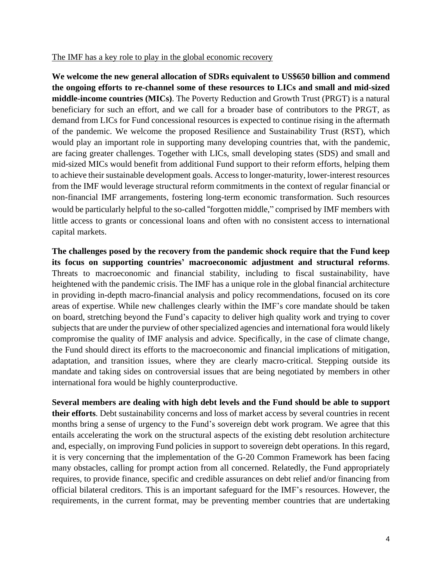#### The IMF has a key role to play in the global economic recovery

**We welcome the new general allocation of SDRs equivalent to US\$650 billion and commend the ongoing efforts to re-channel some of these resources to LICs and small and mid-sized middle-income countries (MICs)**. The Poverty Reduction and Growth Trust (PRGT) is a natural beneficiary for such an effort, and we call for a broader base of contributors to the PRGT, as demand from LICs for Fund concessional resources is expected to continue rising in the aftermath of the pandemic. We welcome the proposed Resilience and Sustainability Trust (RST), which would play an important role in supporting many developing countries that, with the pandemic, are facing greater challenges. Together with LICs, small developing states (SDS) and small and mid-sized MICs would benefit from additional Fund support to their reform efforts, helping them to achieve their sustainable development goals. Access to longer-maturity, lower-interest resources from the IMF would leverage structural reform commitments in the context of regular financial or non-financial IMF arrangements, fostering long-term economic transformation. Such resources would be particularly helpful to the so-called "forgotten middle," comprised by IMF members with little access to grants or concessional loans and often with no consistent access to international capital markets.

**The challenges posed by the recovery from the pandemic shock require that the Fund keep its focus on supporting countries' macroeconomic adjustment and structural reforms**. Threats to macroeconomic and financial stability, including to fiscal sustainability, have heightened with the pandemic crisis. The IMF has a unique role in the global financial architecture in providing in-depth macro-financial analysis and policy recommendations, focused on its core areas of expertise. While new challenges clearly within the IMF's core mandate should be taken on board, stretching beyond the Fund's capacity to deliver high quality work and trying to cover subjects that are under the purview of other specialized agencies and international fora would likely compromise the quality of IMF analysis and advice. Specifically, in the case of climate change, the Fund should direct its efforts to the macroeconomic and financial implications of mitigation, adaptation, and transition issues, where they are clearly macro-critical. Stepping outside its mandate and taking sides on controversial issues that are being negotiated by members in other international fora would be highly counterproductive.

**Several members are dealing with high debt levels and the Fund should be able to support their efforts**. Debt sustainability concerns and loss of market access by several countries in recent months bring a sense of urgency to the Fund's sovereign debt work program. We agree that this entails accelerating the work on the structural aspects of the existing debt resolution architecture and, especially, on improving Fund policies in support to sovereign debt operations. In this regard, it is very concerning that the implementation of the G-20 Common Framework has been facing many obstacles, calling for prompt action from all concerned. Relatedly, the Fund appropriately requires, to provide finance, specific and credible assurances on debt relief and/or financing from official bilateral creditors. This is an important safeguard for the IMF's resources. However, the requirements, in the current format, may be preventing member countries that are undertaking